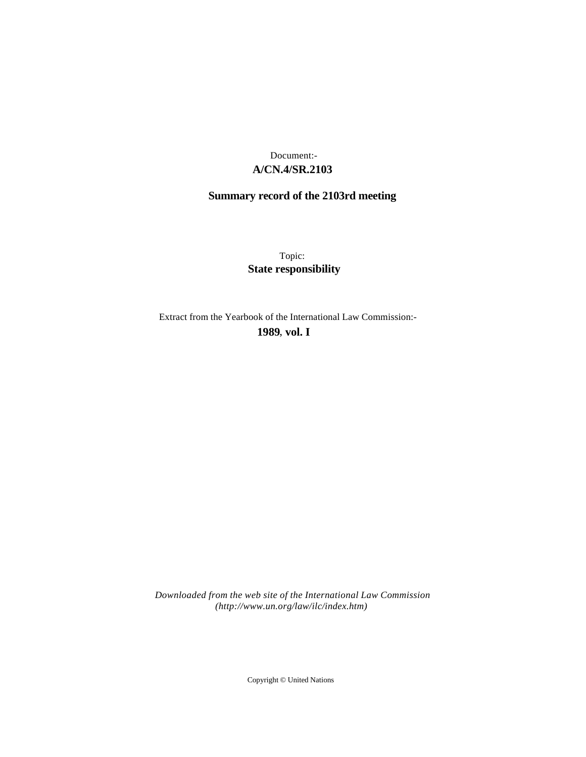# **A/CN.4/SR.2103** Document:-

# **Summary record of the 2103rd meeting**

Topic: **State responsibility**

Extract from the Yearbook of the International Law Commission:-

**1989** , **vol. I**

*Downloaded from the web site of the International Law Commission (http://www.un.org/law/ilc/index.htm)*

Copyright © United Nations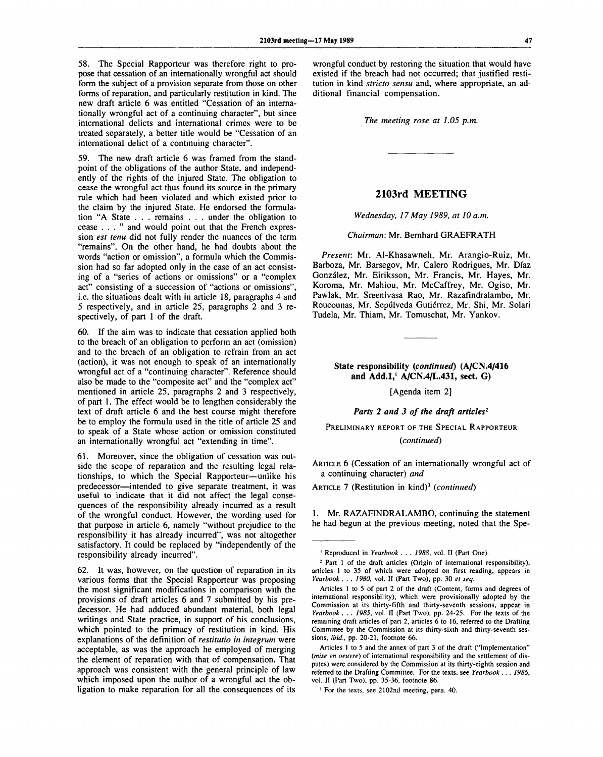58. The Special Rapporteur was therefore right to propose that cessation of an internationally wrongful act should form the subject of a provision separate from those on other forms of reparation, and particularly restitution in kind. The new draft article 6 was entitled "Cessation of an internationally wrongful act of a continuing character", but since international delicts and international crimes were to be treated separately, a better title would be "Cessation of an international delict of a continuing character".

59. The new draft article 6 was framed from the standpoint of the obligations of the author State, and independently of the rights of the injured State. The obligation to cease the wrongful act thus found its source in the primary rule which had been violated and which existed prior to the claim by the injured State. He endorsed the formulation "A State . . . remains . . . under the obligation to cease ... " and would point out that the French expression *est tenu* did not fully render the nuances of the term "remains". On the other hand, he had doubts about the words "action or omission", a formula which the Commission had so far adopted only in the case of an act consisting of a "series of actions or omissions" or a "complex act" consisting of a succession of "actions or omissions", i.e. the situations dealt with in article 18, paragraphs 4 and 5 respectively, and in article 25, paragraphs 2 and 3 respectively, of part 1 of the draft.

60. If the aim was to indicate that cessation applied both to the breach of an obligation to perform an act (omission) and to the breach of an obligation to refrain from an act (action), it was not enough to speak of an internationally wrongful act of a "continuing character". Reference should also be made to the "composite act" and the "complex act" mentioned in article 25, paragraphs 2 and 3 respectively, of part 1. The effect would be to lengthen considerably the text of draft article 6 and the best course might therefore be to employ the formula used in the title of article 25 and to speak of a State whose action or omission constituted an internationally wrongful act "extending in time".

61. Moreover, since the obligation of cessation was outside the scope of reparation and the resulting legal relationships, to which the Special Rapporteur—unlike his predecessor—intended to give separate treatment, it was useful to indicate that it did not affect the legal consequences of the responsibility already incurred as a result of the wrongful conduct. However, the wording used for that purpose in article 6, namely "without prejudice to the responsibility it has already incurred", was not altogether satisfactory. It could be replaced by "independently of the responsibility already incurred".

62. It was, however, on the question of reparation in its various forms that the Special Rapporteur was proposing the most significant modifications in comparison with the provisions of draft articles 6 and 7 submitted by his predecessor. He had adduced abundant material, both legal writings and State practice, in support of his conclusions, which pointed to the primacy of restitution in kind. His explanations of the definition of *restitutio in integrum* were acceptable, as was the approach he employed of merging the element of reparation with that of compensation. That approach was consistent with the general principle of law which imposed upon the author of a wrongful act the obligation to make reparation for all the consequences of its

wrongful conduct by restoring the situation that would have existed if the breach had not occurred; that justified restitution in kind *stricto sensu* and, where appropriate, an additional financial compensation.

*The meeting rose at 1.05 p.m.*

## **2103rd MEETING**

*Wednesday, 17 May 1989, at 10 a.m.*

#### *Chairman:* Mr. Bernhard GRAEFRATH

*Present:* Mr. Al-Khasawneh, Mr. Arangio-Ruiz, Mr. Barboza, Mr. Barsegov, Mr. Calero Rodrigues, Mr. Diaz Gonzdlez, Mr. Eiriksson, Mr. Francis, Mr. Hayes, Mr. Koroma, Mr. Mahiou, Mr. McCaffrey, Mr. Ogiso, Mr. Pawlak, Mr. Sreenivasa Rao, Mr. Razafindralambo, Mr. Roucounas, Mr. Sepulveda Gutierrez, Mr. Shi, Mr. Solari Tudela, Mr. Thiam, Mr. Tomuschat, Mr. Yankov.

## **State responsibility** *(continued)* **(A/CN.4/416 and Add.l,<sup>1</sup> A/CN.4/L.431, sect. G)**

[Agenda item 2]

### *Parts 2 and 3 of the draft articles<sup>2</sup>*

PRELIMINARY REPORT OF THE SPECIAL RAPPORTEUR *(continued)*

ARTICLE 6 (Cessation of an internationally wrongful act of a continuing character) *and*

ARTICLE 7 (Restitution in kind)<sup>3</sup> (continued)

1. Mr. RAZAFINDRALAMBO, continuing the statement he had begun at the previous meeting, noted that the Spe-

Articles 1 to 5 and the annex of part 3 of the draft ("Implementation" *(mise en oeuvre)* of international responsibility and the settlement of disputes) were considered by the Commission at its thirty-eighth session and referred to the Drafting Committee. For the texts, see *Yearbook . . . 1986,* vol. II (Part Two), pp. 35-36, footnote 86.

<sup>3</sup> For the texts, see 2102nd meeting, para. 40.

<sup>1</sup> Reproduced in *Yearbook . . . 1988,* vol. II (Part One).

<sup>&</sup>lt;sup>2</sup> Part 1 of the draft articles (Origin of international responsibility), articles 1 to 35 of which were adopted on first reading, appears in *Yearbook . . . 1980,* vol. II (Part Two), pp. 30 *et seq.*

Articles 1 to 5 of part 2 of the draft (Content, forms and degrees of international responsibility), which were provisionally adopted by the Commission at its thirty-fifth and thirty-seventh sessions, appear in *Yearbook . . . 1985,* vol. II (Part Two), pp. 24-25. For the texts of the remaining draft articles of part 2, articles 6 to 16, referred to the Drafting Committee by the Commission at its thirty-sixth and thirty-seventh sessions, *ibid,,* pp. 20-21, footnote 66.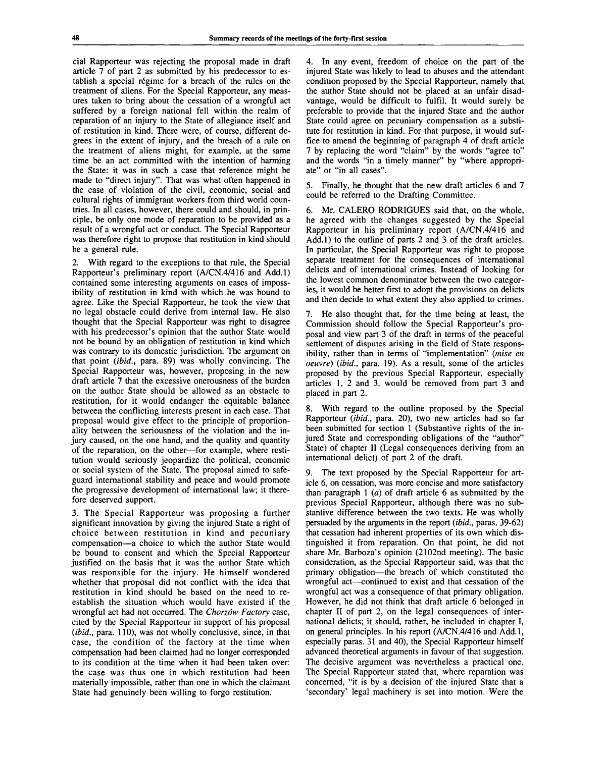cial Rapporteur was rejecting the proposal made in draft article 7 of part 2 as submitted by his predecessor to establish a special régime for a breach of the rules on the treatment of aliens. For the Special Rapporteur, any measures taken to bring about the cessation of a wrongful act suffered by a foreign national fell within the realm of reparation of an injury to the State of allegiance itself and of restitution in kind. There were, of course, different degrees in the extent of injury, and the breach of a rule on the treatment of aliens might, for example, at the same time be an act committed with the intention of harming the State: it was in such a case that reference might be made to "direct injury". That was what often happened in the case of violation of the civil, economic, social and cultural rights of immigrant workers from third world countries. In all cases, however, there could and should, in principle, be only one mode of reparation to be provided as a result of a wrongful act or conduct. The Special Rapporteur was therefore right to propose that restitution in kind should be a general rule.

2. With regard to the exceptions to that rule, the Special Rapporteur's preliminary report (A/CN.4/416 and Add.l) contained some interesting arguments on cases of impossibility of restitution in kind with which he was bound to agree. Like the Special Rapporteur, he took the view that no legal obstacle could derive from internal law. He also thought that the Special Rapporteur was right to disagree with his predecessor's opinion that the author State would not be bound by an obligation of restitution in kind which was contrary to its domestic jurisdiction. The argument on that point *(ibid.,* para. 89) was wholly convincing. The Special Rapporteur was, however, proposing in the new draft article 7 that the excessive onerousness of the burden on the author State should be allowed as an obstacle to restitution, for it would endanger the equitable balance between the conflicting interests present in each case. That proposal would give effect to the principle of proportionality between the seriousness of the violation and the injury caused, on the one hand, and the quality and quantity of the reparation, on the other—for example, where restitution would seriously jeopardize the political, economic or social system of the State. The proposal aimed to safeguard international stability and peace and would promote the progressive development of international law; it therefore deserved support.

3. The Special Rapporteur was proposing a further significant innovation by giving the injured State a right of choice between restitution in kind and pecuniary compensation—a choice to which the author State would be bound to consent and which the Special Rapporteur justified on the basis that it was the author State which was responsible for the injury. He himself wondered whether that proposal did not conflict with the idea that restitution in kind should be based on the need to reestablish the situation which would have existed if the wrongful act had not occurred. The *Chorzów Factory* case, cited by the Special Rapporteur in support of his proposal *(ibid.,* para. 110), was not wholly conclusive, since, in that case, the condition of the factory at the time when compensation had been claimed had no longer corresponded to its condition at the time when it had been taken over: the case was thus one in which restitution had been materially impossible, rather than one in which the claimant State had genuinely been willing to forgo restitution.

4. In any event, freedom of choice on the part of the injured State was likely to lead to abuses and the attendant condition proposed by the Special Rapporteur, namely that the author State should not be placed at an unfair disadvantage, would be difficult to fulfil. It would surely be preferable to provide that the injured State and the author State could agree on pecuniary compensation as a substitute for restitution in kind. For that purpose, it would suffice to amend the beginning of paragraph 4 of draft article 7 by replacing the word "claim" by the words "agree to" and the words "in a timely manner" by "where appropriate" or "in all cases".

5. Finally, he thought that the new draft articles 6 and 7 could be referred to the Drafting Committee.

6. Mr. CALERO RODRIGUES said that, on the whole, he agreed with the changes suggested by the Special Rapporteur in his preliminary report (A/CN.4/416 and Add.l) to the outline of parts 2 and 3 of the draft articles. In particular, the Special Rapporteur was right to propose separate treatment for the consequences of international delicts and of international crimes. Instead of looking for the lowest common denominator between the two categories, it would be better first to adopt the provisions on delicts and then decide to what extent they also applied to crimes.

7. He also thought that, for the time being at least, the Commission should follow the Special Rapporteur's proposal and view part 3 of the draft in terms of the peaceful settlement of disputes arising in the field of State responsibility, rather than in terms of "implementation" *(mise en oeuvre) (ibid.,* para. 19). As a result, some of the articles proposed by the previous Special Rapporteur, especially articles 1, 2 and 3, would be removed from part 3 and placed in part 2.

8. With regard to the outline proposed by the Special Rapporteur *(ibid.,* para. 20), two new articles had so far been submitted for section 1 (Substantive rights of the injured State and corresponding obligations of the "author" State) of chapter II (Legal consequences deriving from an international delict) of part 2 of the draft.

9. The text proposed by the Special Rapporteur for article 6, on cessation, was more concise and more satisfactory than paragraph 1 *(a)* of draft article 6 as submitted by the previous Special Rapporteur, although there was no substantive difference between the two texts. He was wholly persuaded by the arguments in the report *(ibid.,* paras. 39-62) that cessation had inherent properties of its own which distinguished it from reparation. On that point, he did not share Mr. Barboza's opinion (2102nd meeting). The basic consideration, as the Special Rapporteur said, was that the primary obligation—the breach of which constituted the wrongful act—continued to exist and that cessation of the wrongful act was a consequence of that primary obligation. However, he did not think that draft article 6 belonged in chapter II of part 2, on the legal consequences of international delicts; it should, rather, be included in chapter I, on general principles. In his report (A/CN.4/416 and Add.l, especially paras. 31 and 40), the Special Rapporteur himself advanced theoretical arguments in favour of that suggestion. The decisive argument was nevertheless a practical one. The Special Rapporteur stated that, where reparation was concerned, "it is by a decision of the injured State that a 'secondary' legal machinery is set into motion. Were the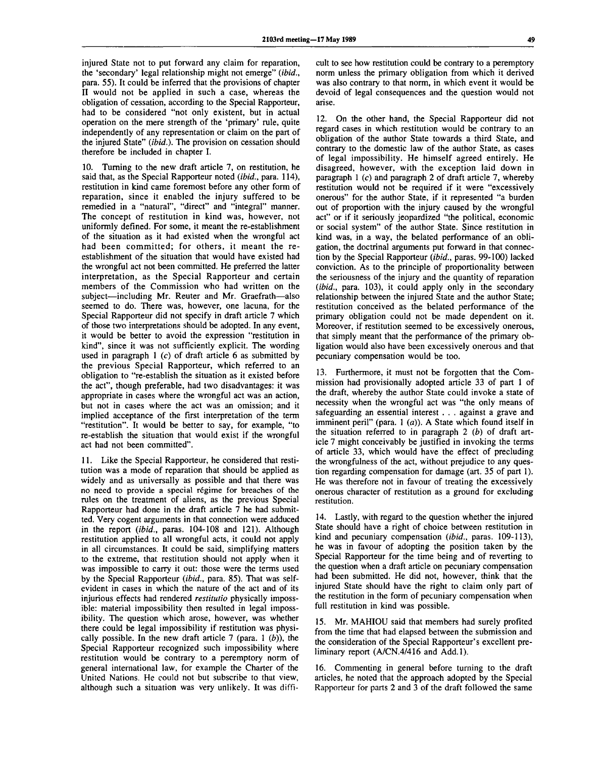injured State not to put forward any claim for reparation, the 'secondary' legal relationship might not emerge" *(ibid.,* para. 55). It could be inferred that the provisions of chapter II would not be applied in such a case, whereas the obligation of cessation, according to the Special Rapporteur, had to be considered "not only existent, but in actual operation on the mere strength of the 'primary' rule, quite independently of any representation or claim on the part of the injured State" *(ibid.).* The provision on cessation should therefore be included in chapter I.

10. Turning to the new draft article 7, on restitution, he said that, as the Special Rapporteur noted *(ibid.,* para. 114), restitution in kind came foremost before any other form of reparation, since it enabled the injury suffered to be remedied in a "natural", "direct" and "integral" manner. The concept of restitution in kind was, however, not uniformly defined. For some, it meant the re-establishment of the situation as it had existed when the wrongful act had been committed; for others, it meant the reestablishment of the situation that would have existed had the wrongful act not been committed. He preferred the latter interpretation, as the Special Rapporteur and certain members of the Commission who had written on the subject—including Mr. Reuter and Mr. Graefrath—also seemed to do. There was, however, one lacuna, for the Special Rapporteur did not specify in draft article 7 which of those two interpretations should be adopted. In any event, it would be better to avoid the expression "restitution in kind", since it was not sufficiently explicit. The wording used in paragraph  $1$  (c) of draft article 6 as submitted by the previous Special Rapporteur, which referred to an obligation to "re-establish the situation as it existed before the act", though preferable, had two disadvantages: it was appropriate in cases where the wrongful act was an action, but not in cases where the act was an omission; and it implied acceptance of the first interpretation of the term "restitution". It would be better to say, for example, "to re-establish the situation that would exist if the wrongful act had not been committed".

11. Like the Special Rapporteur, he considered that restitution was a mode of reparation that should be applied as widely and as universally as possible and that there was no need to provide a special regime for breaches of the rules on the treatment of aliens, as the previous Special Rapporteur had done in the draft article 7 he had submitted. Very cogent arguments in that connection were adduced in the report *(ibid.,* paras. 104-108 and 121). Although restitution applied to all wrongful acts, it could not apply in all circumstances. It could be said, simplifying matters to the extreme, that restitution should not apply when it was impossible to carry it out: those were the terms used by the Special Rapporteur *(ibid.,* para. 85). That was selfevident in cases in which the nature of the act and of its injurious effects had rendered *restitutio* physically impossible: material impossibility then resulted in legal impossibility. The question which arose, however, was whether there could be legal impossibility if restitution was physically possible. In the new draft article 7 (para. 1 *(b)),* the Special Rapporteur recognized such impossibility where restitution would be contrary to a peremptory norm of general international law, for example the Charter of the United Nations. He could not but subscribe to that view, although such a situation was very unlikely. It was difficult to see how restitution could be contrary to a peremptory norm unless the primary obligation from which it derived was also contrary to that norm, in which event it would be devoid of legal consequences and the question would not arise.

12. On the other hand, the Special Rapporteur did not regard cases in which restitution would be contrary to an obligation of the author State towards a third State, and contrary to the domestic law of the author State, as cases of legal impossibility. He himself agreed entirely. He disagreed, however, with the exception laid down in paragraph 1 *(c)* and paragraph 2 of draft article 7, whereby restitution would not be required if it were "excessively onerous" for the author State, if it represented "a burden out of proportion with the injury caused by the wrongful act" or if it seriously jeopardized "the political, economic or social system" of the author State. Since restitution in kind was, in a way, the belated performance of an obligation, the doctrinal arguments put forward in that connection by the Special Rapporteur *(ibid.,* paras. 99-100) lacked conviction. As to the principle of proportionality between the seriousness of the injury and the quantity of reparation *(ibid.,* para. 103), it could apply only in the secondary relationship between the injured State and the author State; restitution conceived as the belated performance of the primary obligation could not be made dependent on it. Moreover, if restitution seemed to be excessively onerous, that simply meant that the performance of the primary obligation would also have been excessively onerous and that pecuniary compensation would be too.

13. Furthermore, it must not be forgotten that the Commission had provisionally adopted article 33 of part 1 of the draft, whereby the author State could invoke a state of necessity when the wrongful act was "the only means of safeguarding an essential interest . . . against a grave and imminent peril" (para. 1 *(a)).* A State which found itself in the situation referred to in paragraph 2 *(b)* of draft article 7 might conceivably be justified in invoking the terms of article 33, which would have the effect of precluding the wrongfulness of the act, without prejudice to any question regarding compensation for damage (art. 35 of part 1). He was therefore not in favour of treating the excessively onerous character of restitution as a ground for excluding restitution.

14. Lastly, with regard to the question whether the injured State should have a right of choice between restitution in kind and pecuniary compensation *(ibid.,* paras. 109-113), he was in favour of adopting the position taken by the Special Rapporteur for the time being and of reverting to the question when a draft article on pecuniary compensation had been submitted. He did not, however, think that the injured State should have the right to claim only part of the restitution in the form of pecuniary compensation when full restitution in kind was possible.

15. Mr. MAHIOU said that members had surely profited from the time that had elapsed between the submission and the consideration of the Special Rapporteur's excellent preliminary report (A/CN.4/416 and Add.l).

16. Commenting in general before turning to the draft articles, he noted that the approach adopted by the Special Rapporteur for parts 2 and 3 of the draft followed the same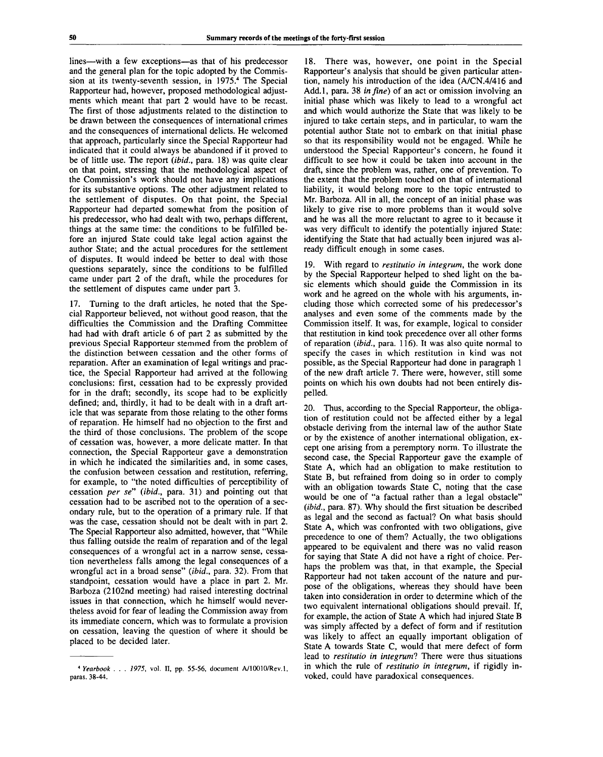lines—with a few exceptions—as that of his predecessor and the general plan for the topic adopted by the Commission at its twenty-seventh session, in 1975.<sup>4</sup> The Special Rapporteur had, however, proposed methodological adjustments which meant that part 2 would have to be recast. The first of those adjustments related to the distinction to be drawn between the consequences of international crimes and the consequences of international delicts. He welcomed that approach, particularly since the Special Rapporteur had indicated that it could always be abandoned if it proved to be of little use. The report *(ibid.,* para. 18) was quite clear on that point, stressing that the methodological aspect of the Commission's work should not have any implications for its substantive options. The other adjustment related to the settlement of disputes. On that point, the Special Rapporteur had departed somewhat from the position of his predecessor, who had dealt with two, perhaps different, things at the same time: the conditions to be fulfilled before an injured State could take legal action against the author State; and the actual procedures for the settlement of disputes. It would indeed be better to deal with those questions separately, since the conditions to be fulfilled came under part 2 of the draft, while the procedures for the settlement of disputes came under part 3.

17. Turning to the draft articles, he noted that the Special Rapporteur believed, not without good reason, that the difficulties the Commission and the Drafting Committee had had with draft article 6 of part 2 as submitted by the previous Special Rapporteur stemmed from the problem of the distinction between cessation and the other forms of reparation. After an examination of legal writings and practice, the Special Rapporteur had arrived at the following conclusions: first, cessation had to be expressly provided for in the draft; secondly, its scope had to be explicitly defined; and, thirdly, it had to be dealt with in a draft article that was separate from those relating to the other forms of reparation. He himself had no objection to the first and the third of those conclusions. The problem of the scope of cessation was, however, a more delicate matter. In that connection, the Special Rapporteur gave a demonstration in which he indicated the similarities and, in some cases, the confusion between cessation and restitution, referring, for example, to "the noted difficulties of perceptibility of cessation *per se" (ibid.,* para. 31) and pointing out that cessation had to be ascribed not to the operation of a secondary rule, but to the operation of a primary rule. If that was the case, cessation should not be dealt with in part 2. The Special Rapporteur also admitted, however, that "While thus falling outside the realm of reparation and of the legal consequences of a wrongful act in a narrow sense, cessation nevertheless falls among the legal consequences of a wrongful act in a broad sense" *(ibid.,* para. 32). From that standpoint, cessation would have a place in part 2. Mr. Barboza (2102nd meeting) had raised interesting doctrinal issues in that connection, which he himself would nevertheless avoid for fear of leading the Commission away from its immediate concern, which was to formulate a provision on cessation, leaving the question of where it should be placed to be decided later.

18. There was, however, one point in the Special Rapporteur's analysis that should be given particular attention, namely his introduction of the idea (A/CN.4/416 and Add.l, para. 38 *in fine)* of an act or omission involving an initial phase which was likely to lead to a wrongful act and which would authorize the State that was likely to be injured to take certain steps, and in particular, to warn the potential author State not to embark on that initial phase so that its responsibility would not be engaged. While he understood the Special Rapporteur's concern, he found it difficult to see how it could be taken into account in the draft, since the problem was, rather, one of prevention. To the extent that the problem touched on that of international liability, it would belong more to the topic entrusted to Mr. Barboza. All in all, the concept of an initial phase was likely to give rise to more problems than it would solve and he was all the more reluctant to agree to it because it was very difficult to identify the potentially injured State: identifying the State that had actually been injured was already difficult enough in some cases.

19. With regard to *restitutio in integrum,* the work done by the Special Rapporteur helped to shed light on the basic elements which should guide the Commission in its work and he agreed on the whole with his arguments, including those which corrected some of his predecessor's analyses and even some of the comments made by the Commission itself. It was, for example, logical to consider that restitution in kind took precedence over all other forms of reparation *(ibid.,* para. 116). It was also quite normal to specify the cases in which restitution in kind was not possible, as the Special Rapporteur had done in paragraph 1 of the new draft article 7. There were, however, still some points on which his own doubts had not been entirely dispelled.

20. Thus, according to the Special Rapporteur, the obligation of restitution could not be affected either by a legal obstacle deriving from the internal law of the author State or by the existence of another international obligation, except one arising from a peremptory norm. To illustrate the second case, the Special Rapporteur gave the example of State A, which had an obligation to make restitution to State B, but refrained from doing so in order to comply with an obligation towards State C, noting that the case would be one of "a factual rather than a legal obstacle" *(ibid.,* para. 87). Why should the first situation be described as legal and the second as factual? On what basis should State A, which was confronted with two obligations, give precedence to one of them? Actually, the two obligations appeared to be equivalent and there was no valid reason for saying that State A did not have a right of choice. Perhaps the problem was that, in that example, the Special Rapporteur had not taken account of the nature and purpose of the obligations, whereas they should have been taken into consideration in order to determine which of the two equivalent international obligations should prevail. If, for example, the action of State A which had injured State B was simply affected by a defect of form and if restitution was likely to affect an equally important obligation of State A towards State C, would that mere defect of form lead to *restitutio in integrum?* There were thus situations in which the rule of *restitutio in integrum,* if rigidly invoked, could have paradoxical consequences.

<sup>4</sup>  *Yearbook . . . 1975,* vol. II, pp. 55-56, document A/10010/Rev.l, paras. 38-44.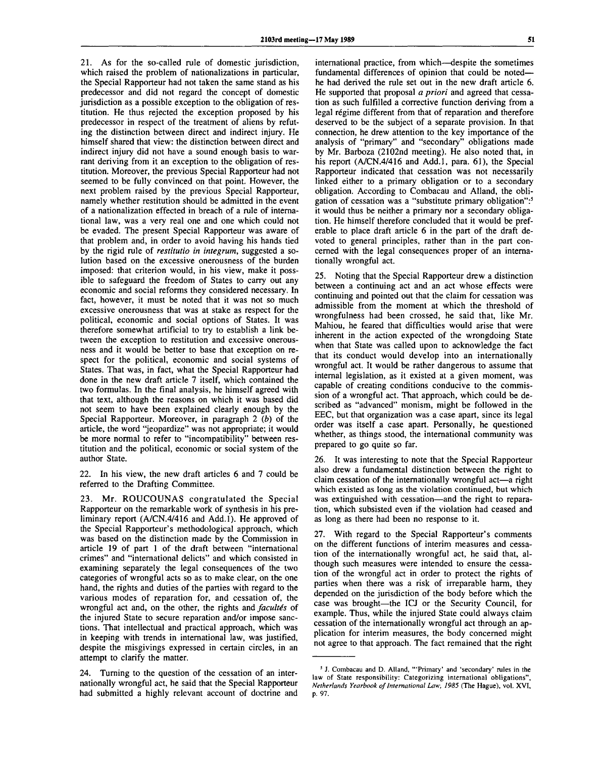21. As for the so-called rule of domestic jurisdiction, which raised the problem of nationalizations in particular, the Special Rapporteur had not taken the same stand as his predecessor and did not regard the concept of domestic jurisdiction as a possible exception to the obligation of restitution. He thus rejected the exception proposed by his predecessor in respect of the treatment of aliens by refuting the distinction between direct and indirect injury. He himself shared that view: the distinction between direct and indirect injury did not have a sound enough basis to warrant deriving from it an exception to the obligation of restitution. Moreover, the previous Special Rapporteur had not seemed to be fully convinced on that point. However, the next problem raised by the previous Special Rapporteur, namely whether restitution should be admitted in the event of a nationalization effected in breach of a rule of international law, was a very real one and one which could not be evaded. The present Special Rapporteur was aware of that problem and, in order to avoid having his hands tied by the rigid rule of *restitutio in integrum,* suggested a solution based on the excessive onerousness of the burden imposed: that criterion would, in his view, make it possible to safeguard the freedom of States to carry out any economic and social reforms they considered necessary. In fact, however, it must be noted that it was not so much excessive onerousness that was at stake as respect for the political, economic and social options of States. It was therefore somewhat artificial to try to establish a link between the exception to restitution and excessive onerousness and it would be better to base that exception on respect for the political, economic and social systems of States. That was, in fact, what the Special Rapporteur had done in the new draft article 7 itself, which contained the two formulas. In the final analysis, he himself agreed with that text, although the reasons on which it was based did not seem to have been explained clearly enough by the Special Rapporteur. Moreover, in paragraph *2 (b)* of the article, the word "jeopardize" was not appropriate; it would be more normal to refer to "incompatibility" between restitution and the political, economic or social system of the author State.

22. In his view, the new draft articles 6 and 7 could be referred to the Drafting Committee.

23. Mr. ROUCOUNAS congratulated the Special Rapporteur on the remarkable work of synthesis in his preliminary report (A/CN.4/416 and Add.l). He approved of the Special Rapporteur's methodological approach, which was based on the distinction made by the Commission in article 19 of part 1 of the draft between "international crimes" and "international delicts" and which consisted in examining separately the legal consequences of the two categories of wrongful acts so as to make clear, on the one hand, the rights and duties of the parties with regard to the various modes of reparation for, and cessation of, the wrongful act and, on the other, the rights and *facultes* of the injured State to secure reparation and/or impose sanctions. That intellectual and practical approach, which was in keeping with trends in international law, was justified, despite the misgivings expressed in certain circles, in an attempt to clarify the matter.

24. Turning to the question of the cessation of an internationally wrongful act, he said that the Special Rapporteur had submitted a highly relevant account of doctrine and

international practice, from which—despite the sometimes fundamental differences of opinion that could be noted he had derived the rule set out in the new draft article 6. He supported that proposal *a priori* and agreed that cessation as such fulfilled a corrective function deriving from a legal régime different from that of reparation and therefore deserved to be the subject of a separate provision. In that connection, he drew attention to the key importance of the analysis of "primary" and "secondary" obligations made by Mr. Barboza (2102nd meeting). He also noted that, in his report (A/CN.4/416 and Add.l, para. 61), the Special Rapporteur indicated that cessation was not necessarily linked either to a primary obligation or to a secondary obligation. According to Combacau and Alland, the obligation of cessation was a "substitute primary obligation":<sup>5</sup> it would thus be neither a primary nor a secondary obligation. He himself therefore concluded that it would be preferable to place draft article 6 in the part of the draft devoted to general principles, rather than in the part concerned with the legal consequences proper of an internationally wrongful act.

25. Noting that the Special Rapporteur drew a distinction between a continuing act and an act whose effects were continuing and pointed out that the claim for cessation was admissible from the moment at which the threshold of wrongfulness had been crossed, he said that, like Mr. Mahiou, he feared that difficulties would arise that were inherent in the action expected of the wrongdoing State when that State was called upon to acknowledge the fact that its conduct would develop into an internationally wrongful act. It would be rather dangerous to assume that internal legislation, as it existed at a given moment, was capable of creating conditions conducive to the commission of a wrongful act. That approach, which could be described as "advanced" monism, might be followed in the EEC, but that organization was a case apart, since its legal order was itself a case apart. Personally, he questioned whether, as things stood, the international community was prepared to go quite so far.

26. It was interesting to note that the Special Rapporteur also drew a fundamental distinction between the right to claim cessation of the internationally wrongful act—a right which existed as long as the violation continued, but which was extinguished with cessation—and the right to reparation, which subsisted even if the violation had ceased and as long as there had been no response to it.

27. With regard to the Special Rapporteur's comments on the different functions of interim measures and cessation of the internationally wrongful act, he said that, although such measures were intended to ensure the cessation of the wrongful act in order to protect the rights of parties when there was a risk of irreparable harm, they depended on the jurisdiction of the body before which the case was brought—the ICJ or the Security Council, for example. Thus, while the injured State could always claim cessation of the internationally wrongful act through an application for interim measures, the body concerned might not agree to that approach. The fact remained that the right

<sup>&</sup>lt;sup>5</sup> J. Combacau and D. Alland, "'Primary' and 'secondary' rules in the law of State responsibility: Categorizing international obligations", *Netherlands Yearbook of International Law, 1985* (The Hague), vol. XVI, p. 97.